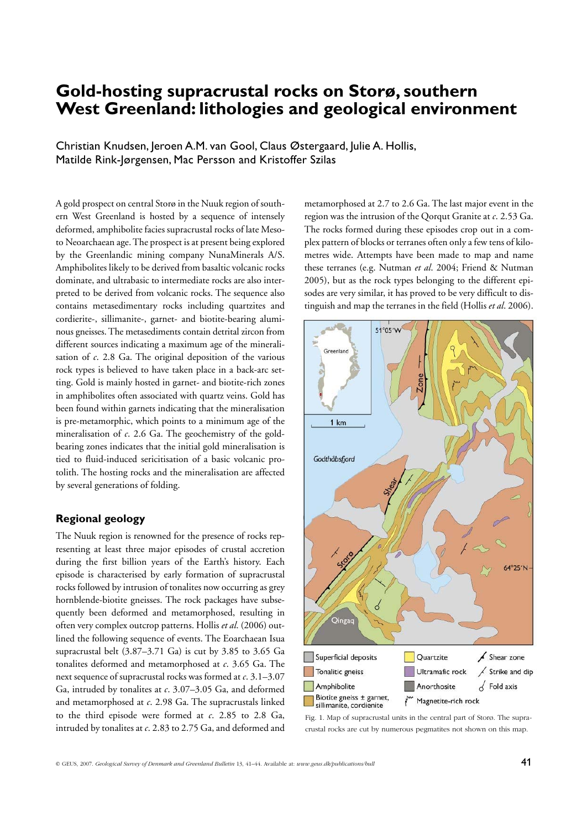# **Gold-hosting supracrustal rocks on Storø, southern West Greenland: lithologies and geological environment**

Christian Knudsen, Jeroen A.M. van Gool, Claus Østergaard, Julie A. Hollis, Matilde Rink-Jørgensen, Mac Persson and Kristoffer Szilas

A gold prospect on central Storø in the Nuuk region of southern West Greenland is hosted by a sequence of intensely deformed, amphibolite facies supracrustal rocks of late Mesoto Neoarchaean age. The prospect is at present being explored by the Greenlandic mining company NunaMinerals A/S. Amphibolites likely to be derived from basaltic volcanic rocks dominate, and ultrabasic to intermediate rocks are also interpreted to be derived from volcanic rocks. The sequence also contains metasedimentary rocks including quartzites and cordierite-, sillimanite-, garnet- and biotite-bearing aluminous gneisses. The metasediments contain detrital zircon from different sources indicating a maximum age of the mineralisation of *c*. 2.8 Ga. The original deposition of the various rock types is believed to have taken place in a back-arc setting. Gold is mainly hosted in garnet- and biotite-rich zones in amphibolites often associated with quartz veins. Gold has been found within garnets indicating that the mineralisation is pre-metamorphic, which points to a minimum age of the mineralisation of *c*. 2.6 Ga. The geochemistry of the goldbearing zones indicates that the initial gold mineralisation is tied to fluid-induced sericitisation of a basic volcanic protolith. The hosting rocks and the mineralisation are affected by several generations of folding.

# **Regional geology**

The Nuuk region is renowned for the presence of rocks representing at least three major episodes of crustal accretion during the first billion years of the Earth's history. Each episode is characterised by early formation of supracrustal rocks followed by intrusion of tonalites now occurring as grey hornblende-biotite gneisses. The rock packages have subsequently been deformed and metamorphosed, resulting in often very complex outcrop patterns. Hollis *et al*. (2006) outlined the following sequence of events. The Eoarchaean Isua supracrustal belt  $(3.87-3.71 \text{ Ga})$  is cut by 3.85 to 3.65 Ga tonalites deformed and metamorphosed at *c*. 3.65 Ga. The next sequence of supracrustal rocks was formed at *c*. 3.1–3.07 Ga, intruded by tonalites at *c*. 3.07–3.05 Ga, and deformed and metamorphosed at *c*. 2.98 Ga. The supracrustals linked to the third episode were formed at *c*. 2.85 to 2.8 Ga, intruded by tonalites at *c*. 2.83 to 2.75 Ga, and deformed and

metamorphosed at 2.7 to 2.6 Ga. The last major event in the region was the intrusion of the Qorqut Granite at *c*. 2.53 Ga. The rocks formed during these episodes crop out in a complex pattern of blocks or terranes often only a few tens of kilometres wide. Attempts have been made to map and name these terranes (e.g. Nutman *et al*. 2004; Friend & Nutman 2005), but as the rock types belonging to the different episodes are very similar, it has proved to be very difficult to distinguish and map the terranes in the field (Hollis *et al*. 2006).



Fig. 1. Map of supracrustal units in the central part of Storø. The supracrustal rocks are cut by numerous pegmatites not shown on this map.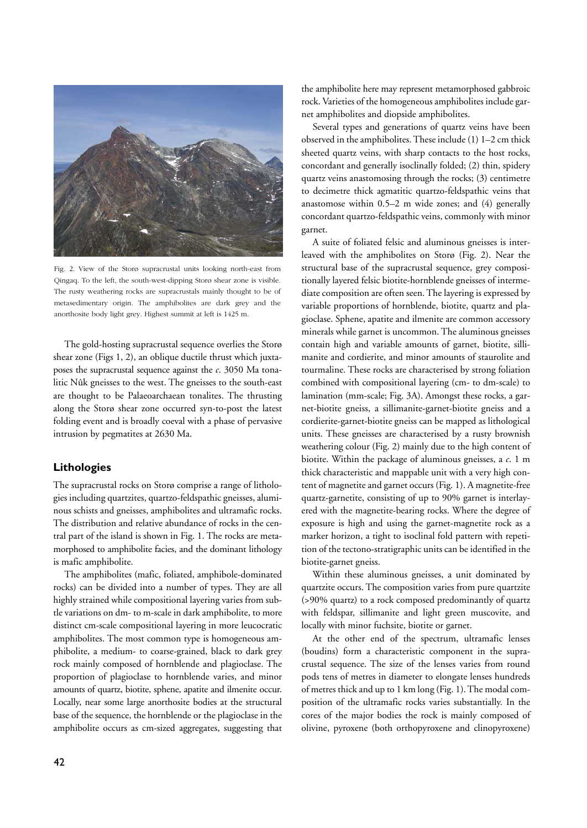

Fig. 2. View of the Storø supracrustal units looking north-east from Qingaq. To the left, the south-west-dipping Storø shear zone is visible. The rusty weathering rocks are supracrustals mainly thought to be of metasedimentary origin. The amphibolites are dark grey and the anorthosite body light grey. Highest summit at left is 1425 m.

The gold-hosting supracrustal sequence overlies the Storø shear zone (Figs 1, 2), an oblique ductile thrust which juxtaposes the supracrustal sequence against the *c*. 3050 Ma tona litic Nûk gneisses to the west. The gneisses to the south-east are thought to be Palaeoarchaean tonalites. The thrusting along the Storø shear zone occurred syn-to-post the latest folding event and is broadly coeval with a phase of pervasive intrusion by pegmatites at 2630 Ma.

## **Lithologies**

The supracrustal rocks on Storø comprise a range of lithologies including quartzites, quartzo-feldspathic gneisses, aluminous schists and gneisses, amphibolites and ultramafic rocks. The distribution and relative abundance of rocks in the central part of the island is shown in Fig. 1. The rocks are metamorphosed to amphibolite facies, and the dominant lithology is mafic amphibolite.

The amphibolites (mafic, foliated, amphibole-dominated rocks) can be divided into a number of types. They are all highly strained while compositional layering varies from subtle variations on dm- to m-scale in dark amphibolite, to more distinct cm-scale compositional layering in more leucocratic amphibolites. The most common type is homogeneous amphibolite, a medium- to coarse-grained, black to dark grey rock mainly composed of hornblende and plagioclase. The proportion of plagioclase to hornblende varies, and minor amounts of quartz, biotite, sphene, apatite and ilmenite occur. Locally, near some large anorthosite bodies at the structural base of the sequence, the hornblende or the plagioclase in the amphibolite occurs as cm-sized aggregates, suggesting that

the amphibolite here may represent metamorphosed gabbroic rock. Varieties of the homogeneous amphibolites include garnet amphibolites and diopside amphibolites.

Several types and generations of quartz veins have been observed in the amphibolites. These include (1) 1–2 cm thick sheeted quartz veins, with sharp contacts to the host rocks, concordant and generally isoclinally folded; (2) thin, spidery quartz veins anastomosing through the rocks; (3) centimetre to decimetre thick agmatitic quartzo-feldspathic veins that anastomose within 0.5–2 m wide zones; and (4) generally concordant quartzo-feldspathic veins, commonly with minor garnet.

A suite of foliated felsic and aluminous gneisses is interleaved with the amphibolites on Storø (Fig. 2). Near the structural base of the supracrustal sequence, grey compositionally layered felsic biotite-hornblende gneisses of intermediate composition are often seen. The layering is expressed by variable proportions of hornblende, biotite, quartz and plagioclase. Sphene, apatite and ilmenite are common accessory minerals while garnet is uncommon. The aluminous gneisses contain high and variable amounts of garnet, biotite, sillimanite and cordierite, and minor amounts of staurolite and tourmaline. These rocks are characterised by strong foliation combined with compositional layering (cm- to dm-scale) to lamination (mm-scale; Fig. 3A). Amongst these rocks, a garnet-biotite gneiss, a sillimanite-garnet-biotite gneiss and a cordierite-garnet-biotite gneiss can be mapped as lithological units. These gneisses are characterised by a rusty brownish weathering colour (Fig. 2) mainly due to the high content of biotite. Within the package of aluminous gneisses, a *c*. 1 m thick characteristic and mappable unit with a very high content of magnetite and garnet occurs (Fig. 1). A magnetite-free quartz-garnetite, consisting of up to 90% garnet is interlayered with the magnetite-bearing rocks. Where the degree of exposure is high and using the garnet-magnetite rock as a marker horizon, a tight to isoclinal fold pattern with repetition of the tectono-stratigraphic units can be identified in the biotite-garnet gneiss.

Within these aluminous gneisses, a unit dominated by quartzite occurs. The composition varies from pure quartzite (>90% quartz) to a rock composed predominantly of quartz with feldspar, sillimanite and light green muscovite, and locally with minor fuchsite, biotite or garnet.

At the other end of the spectrum, ultramafic lenses (boudins) form a characteristic component in the supracrustal sequence. The size of the lenses varies from round pods tens of metres in diameter to elongate lenses hundreds of metres thick and up to 1 km long (Fig. 1). The modal composition of the ultramafic rocks varies substantially. In the cores of the major bodies the rock is mainly composed of olivine, pyroxene (both orthopyroxene and clinopyroxene)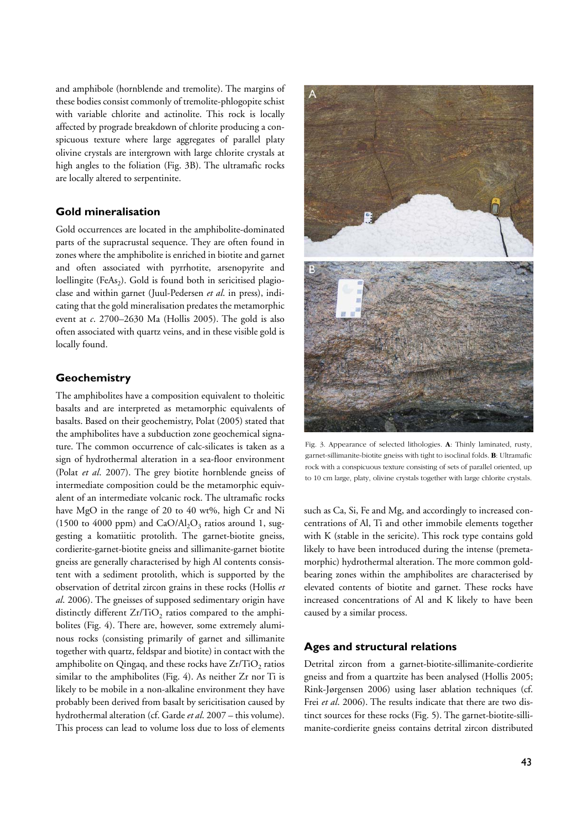and amphibole (hornblende and tremolite). The margins of these bodies consist commonly of tremolite-phlogopite schist with variable chlorite and actinolite. This rock is locally affected by prograde breakdown of chlorite producing a conspicuous texture where large aggregates of parallel platy olivine crystals are intergrown with large chlorite crystals at high angles to the foliation (Fig. 3B). The ultramafic rocks are locally altered to serpentinite.

#### **Gold mineralisation**

Gold occurrences are located in the amphibolite-dominated parts of the supracrustal sequence. They are often found in zones where the amphibolite is enriched in biotite and garnet and often associated with pyrrhotite, arsenopyrite and loellingite (FeAs<sub>2</sub>). Gold is found both in sericitised plagioclase and within garnet (Juul-Pedersen *et al*. in press), indicating that the gold mineralisation predates the metamorphic event at *c*. 2700–2630 Ma (Hollis 2005). The gold is also often associated with quartz veins, and in these visible gold is locally found.

### **Geochemistry**

The amphibolites have a composition equivalent to tholeitic basalts and are interpreted as metamorphic equivalents of basalts. Based on their geochemistry, Polat (2005) stated that the amphibolites have a subduction zone geochemical signature. The common occurrence of calc-silicates is taken as a sign of hydrothermal alteration in a sea-floor environment (Polat *et al*. 2007). The grey biotite hornblende gneiss of intermediate composition could be the metamorphic equivalent of an intermediate volcanic rock. The ultramafic rocks have MgO in the range of 20 to 40 wt%, high Cr and Ni (1500 to 4000 ppm) and  $CaO/Al_2O_3$  ratios around 1, suggesting a komatiitic protolith. The garnet-biotite gneiss, cordierite-garnet-biotite gneiss and sillimanite-garnet biotite gneiss are generally characterised by high Al contents consistent with a sediment protolith, which is supported by the observation of detrital zircon grains in these rocks (Hollis *et al*. 2006). The gneisses of supposed sedimentary origin have distinctly different  $Zr/TiO<sub>2</sub>$  ratios compared to the amphibolites (Fig. 4). There are, however, some extremely aluminous rocks (consisting primarily of garnet and sillimanite together with quartz, feldspar and biotite) in contact with the amphibolite on Qingaq, and these rocks have  $Zr/TiO<sub>2</sub>$  ratios similar to the amphibolites (Fig. 4). As neither Zr nor Ti is likely to be mobile in a non-alkaline environment they have probably been derived from basalt by sericitisation caused by hydrothermal alteration (cf. Garde *et al*. 2007 – this volume). This process can lead to volume loss due to loss of elements



Fig. 3. Appearance of selected lithologies. **A**: Thinly laminated, rusty, garnet-sillimanite-biotite gneiss with tight to isoclinal folds. **B**: Ultramafic rock with a conspicuous texture consisting of sets of parallel oriented, up to 10 cm large, platy, olivine crystals together with large chlorite crystals.

such as Ca, Si, Fe and Mg, and accordingly to increased concentrations of Al, Ti and other immobile elements together with K (stable in the sericite). This rock type contains gold likely to have been introduced during the intense (premetamorphic) hydrothermal alteration. The more common goldbearing zones within the amphibolites are characterised by elevated contents of biotite and garnet. These rocks have increased concentrations of Al and K likely to have been caused by a similar process.

#### **Ages and structural relations**

Detrital zircon from a garnet-biotite-sillimanite-cordierite gneiss and from a quartzite has been analysed (Hollis 2005; Rink-Jørgensen 2006) using laser ablation techniques (cf. Frei *et al*. 2006). The results indicate that there are two distinct sources for these rocks (Fig. 5). The garnet-biotite-sillimanite-cordierite gneiss contains detrital zircon distributed